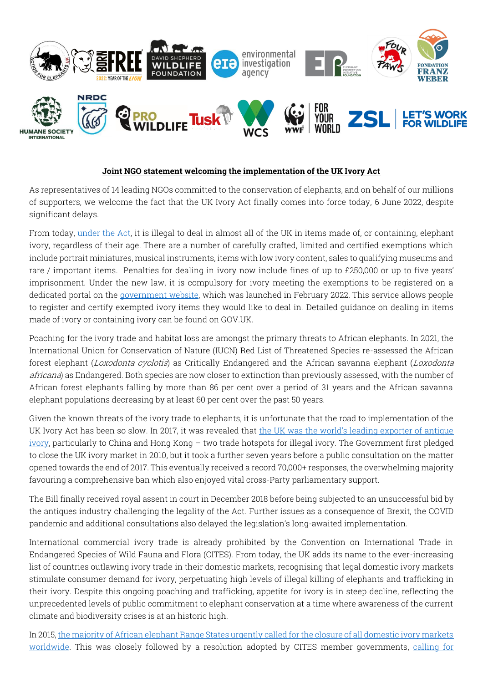

## **Joint NGO statement welcoming the implementation of the UK Ivory Act**

As representatives of 14 leading NGOs committed to the conservation of elephants, and on behalf of our millions of supporters, we welcome the fact that the UK Ivory Act finally comes into force today, 6 June 2022, despite significant delays.

From today, under the Act, it is illegal to deal in almost all of the UK in items made of, or containing, elephant ivory, regardless of their age. There are a number of carefully crafted, limited and certified exemptions which include portrait miniatures, musical instruments, items with low ivory content, sales to qualifying museums and rare / important items. Penalties for dealing in ivory now include fines of up to £250,000 or up to five years' imprisonment. Under the new law, it is compulsory for ivory meeting the exemptions to be registered on a dedicated portal on the *government website*, which was launched in February 2022. This service allows people to register and certify exempted ivory items they would like to deal in. Detailed guidance on dealing in items made of ivory or containing ivory can be found on GOV.UK.

Poaching for the ivory trade and habitat loss are amongst the primary threats to African elephants. In 2021, the International Union for Conservation of Nature (IUCN) Red List of Threatened Species re-assessed the African forest elephant (Loxodonta cyclotis) as Critically Endangered and the African savanna elephant (Loxodonta africana) as Endangered. Both species are now closer to extinction than previously assessed, with the number of African forest elephants falling by more than 86 per cent over a period of 31 years and the African savanna elephant populations decreasing by at least 60 per cent over the past 50 years.

Given the known threats of the ivory trade to elephants, it is unfortunate that the road to implementation of the UK Ivory Act has been so slow. In 2017, it was revealed that the UK was the world's leading exporter of antique ivory, particularly to China and Hong Kong – two trade hotspots for illegal ivory. The Government first pledged to close the UK ivory market in 2010, but it took a further seven years before a public consultation on the matter opened towards the end of 2017. This eventually received a record 70,000+ responses, the overwhelming majority favouring a comprehensive ban which also enjoyed vital cross-Party parliamentary support.

The Bill finally received royal assent in court in December 2018 before being subjected to an unsuccessful bid by the antiques industry challenging the legality of the Act. Further issues as a consequence of Brexit, the COVID pandemic and additional consultations also delayed the legislation's long-awaited implementation.

International commercial ivory trade is already prohibited by the Convention on International Trade in Endangered Species of Wild Fauna and Flora (CITES). From today, the UK adds its name to the ever-increasing list of countries outlawing ivory trade in their domestic markets, recognising that legal domestic ivory markets stimulate consumer demand for ivory, perpetuating high levels of illegal killing of elephants and trafficking in their ivory. Despite this ongoing poaching and trafficking, appetite for ivory is in steep decline, reflecting the unprecedented levels of public commitment to elephant conservation at a time where awareness of the current climate and biodiversity crises is at an historic high.

In 2015, the majority of African elephant Range States urgently called for the closure of all domestic ivory markets worldwide. This was closely followed by a resolution adopted by CITES member governments, calling for